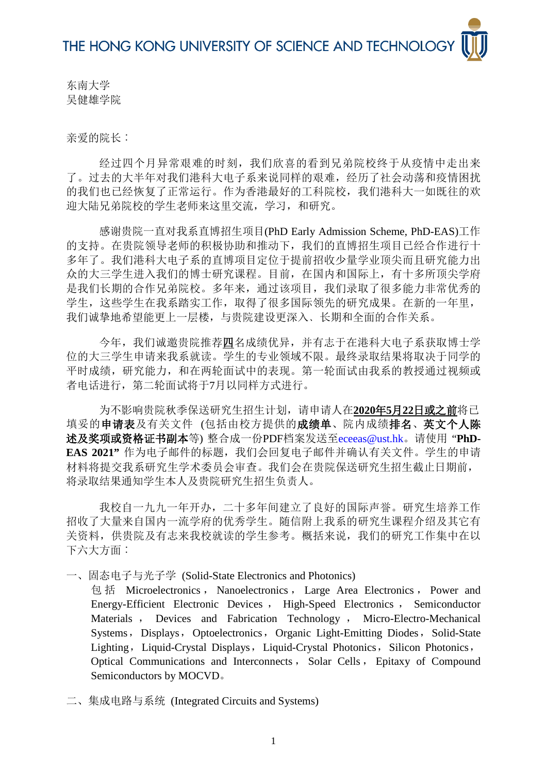东南大学 吴健雄学院

亲爱的院长:

经过四个月异常艰难的时刻,我们欣喜的看到兄弟院校终于从疫情中走出来 了。过去的大半年对我们港科大电子系来说同样的艰难,经历了社会动荡和疫情困扰 的我们也已经恢复了正常运行。作为香港最好的工科院校,我们港科大一如既往的欢 迎大陆兄弟院校的学生老师来这里交流,学习,和研究。

感谢贵院一直对我系直博招生项目(PhD Early Admission Scheme, PhD-EAS)工作 的支持。在贵院领导老师的积极协助和推动下,我们的直博招生项目已经合作进行十 多年了。我们港科大电子系的直博项目定位于提前招收少量学业顶尖而且研究能力出 众的大三学生进入我们的博士研究课程。目前,在国内和国际上,有十多所顶尖学府 是我们长期的合作兄弟院校。多年来,通过该项目,我们录取了很多能力非常优秀的 学生,这些学生在我系踏实工作,取得了很多国际领先的研究成果。在新的一年里, 我们诚挚地希望能更上一层楼,与贵院建设更深入﹑长期和全面的合作关系。

今年,我们诚邀贵院推荐四名成绩优异,并有志于在港科大电子系获取博士学 位的大三学生申请来我系就读。学生的专业领域不限。最终录取结果将取决于同学的 平时成绩,研究能力,和在两轮面试中的表现。第一轮面试由我系的教授通过视频或 者电话进行,第二轮面试将于7月以同样方式进行。

为不影响贵院秋季保送研究生招生计划,请申请人在**2020**年**5**月**22**日或之前将已 填妥的申请表及有关文件(包括由校方提供的成绩单、院内成绩排名、英文个人陈 述及奖项或资格证书副本等) 整合成一份PDF档案发送至eceeas@ust.hk。请使用 "**PhD-[EAS 2021"](mailto:eceeas@ust.hk)** 作为电子邮件的标题,我们会回复电子邮件并确认有关文件。学生的申请 材料将提交我系研究生学术委员会审查。我们会在贵院保送研究生招生截止日期前, 将录取结果通知学生本人及贵院研究生招生负责人。

我校自一九九一年开办,二十多年间建立了良好的国际声誉。研究生培养工作 招收了大量来自国内一流学府的优秀学生。随信附上我系的研究生课程介绍及其它有 关资料,供贵院及有志来我校就读的学生参考。概括来说,我们的研究工作集中在以 下六大方面:

一、固态电子与光子学 (Solid-State Electronics and Photonics)

包 括 Microelectronics , Nanoelectronics , Large Area Electronics , Power and Energy-Efficient Electronic Devices , High-Speed Electronics , Semiconductor Materials , Devices and Fabrication Technology , Micro-Electro-Mechanical Systems, Displays, Optoelectronics, Organic Light-Emitting Diodes, Solid-State Lighting, Liquid-Crystal Displays, Liquid-Crystal Photonics, Silicon Photonics, Optical Communications and Interconnects , Solar Cells , Epitaxy of Compound Semiconductors by MOCVD。

二、集成电路与系统 (Integrated Circuits and Systems)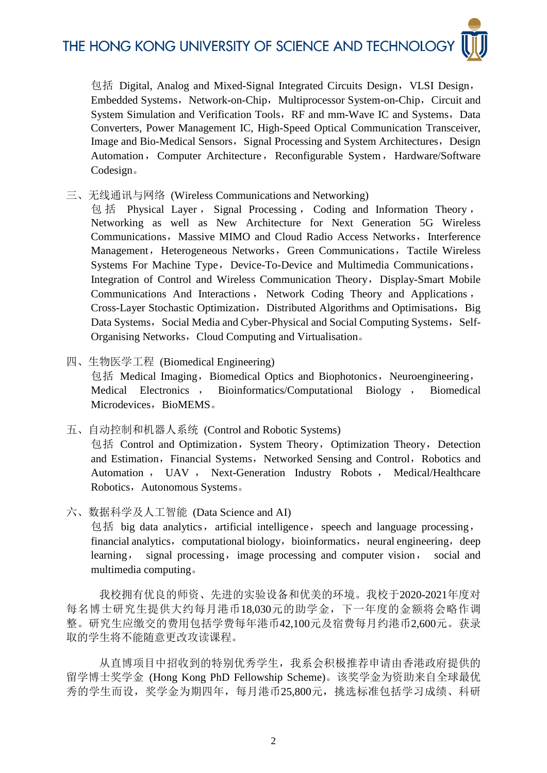## THE HONG KONG UNIVERSITY OF SCIENCE AND TECHNOLOGY

包括 Digital, Analog and Mixed-Signal Integrated Circuits Design, VLSI Design, Embedded Systems, Network-on-Chip, Multiprocessor System-on-Chip, Circuit and System Simulation and Verification Tools, RF and mm-Wave IC and Systems, Data Converters, Power Management IC, High-Speed Optical Communication Transceiver, Image and Bio-Medical Sensors, Signal Processing and System Architectures, Design Automation, Computer Architecture, Reconfigurable System, Hardware/Software Codesign。

三、无线通讯与网络 (Wireless Communications and Networking)

包 括 Physical Layer , Signal Processing , Coding and Information Theory , Networking as well as New Architecture for Next Generation 5G Wireless Communications, Massive MIMO and Cloud Radio Access Networks, Interference Management, Heterogeneous Networks, Green Communications, Tactile Wireless Systems For Machine Type, Device-To-Device and Multimedia Communications, Integration of Control and Wireless Communication Theory, Display-Smart Mobile Communications And Interactions , Network Coding Theory and Applications , Cross-Layer Stochastic Optimization, Distributed Algorithms and Optimisations, Big Data Systems, Social Media and Cyber-Physical and Social Computing Systems, Self-Organising Networks, Cloud Computing and Virtualisation.

- 四、生物医学工程 (Biomedical Engineering) 包括 Medical Imaging, Biomedical Optics and Biophotonics, Neuroengineering, Medical Electronics , Bioinformatics/Computational Biology , Biomedical Microdevices, BioMEMS。
- 五、自动控制和机器人系统 (Control and Robotic Systems) 包括 Control and Optimization, System Theory, Optimization Theory, Detection and Estimation, Financial Systems, Networked Sensing and Control, Robotics and Automation , UAV , Next-Generation Industry Robots , Medical/Healthcare Robotics, Autonomous Systems.
- 六、数据科学及人工智能 (Data Science and AI)

包括 big data analytics, artificial intelligence, speech and language processing, financial analytics, computational biology, bioinformatics, neural engineering, deep learning, signal processing, image processing and computer vision, social and multimedia computing。

我校拥有优良的师资、先进的实验设备和优美的环境。我校于2020-2021年度对 每名博士研究生提供大约每月港币18,030元的助学金,下一年度的金额将会略作调 整。研究生应缴交的费用包括学费每年港币42,100元及宿费每月约港币2,600元。获录 取的学生将不能随意更改攻读课程。

从直博项目中招收到的特别优秀学生,我系会积极推荐申请由香港政府提供的 留学博士奖学金 (Hong Kong PhD Fellowship Scheme)。该奖学金为资助来自全球最优 秀的学生而设,奖学金为期四年,每月港币25,800元,挑选标准包括学习成绩、科研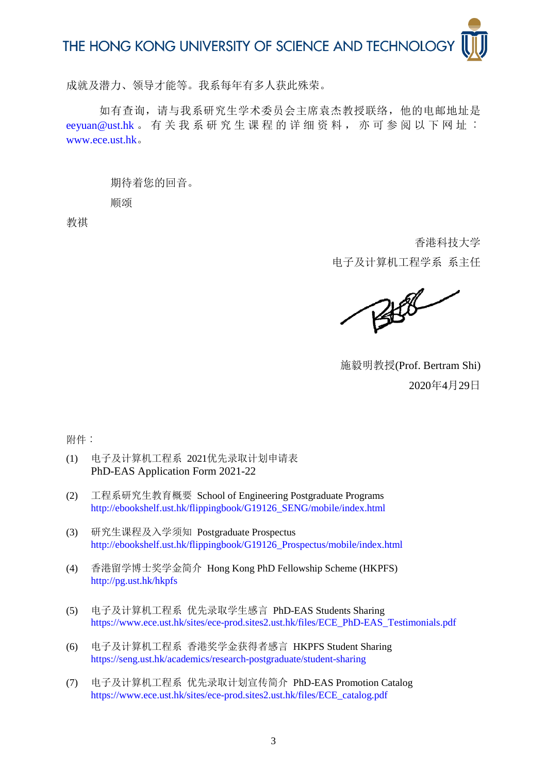## THE HONG KONG UNIVERSITY OF SCIENCE AND TECHNOLOG

成就及潜力、领导才能等。我系每年有多人获此殊荣。

如有查询,请与我系研究生学术委员会主席袁杰教授联络,他的电邮地址是 eevuan@ust.hk 。 有关我系研究生课程的详细资料, 亦可参阅以下网址︰ [www.ece.ust.hk](http://www.ece.ust.hk/)。

> 期待着您的回音。 顺颂

教祺

香港科技大学 电子及计算机工程学系 系主任

 $\begin{picture}(20,20) \put(0,0){\line(1,0){10}} \put(15,0){\line(1,0){10}} \put(15,0){\line(1,0){10}} \put(15,0){\line(1,0){10}} \put(15,0){\line(1,0){10}} \put(15,0){\line(1,0){10}} \put(15,0){\line(1,0){10}} \put(15,0){\line(1,0){10}} \put(15,0){\line(1,0){10}} \put(15,0){\line(1,0){10}} \put(15,0){\line(1,0){10}} \put(15,0){\line(1$ 

施毅明教授(Prof. Bertram Shi) 2020年4月29日

附件︰

- (1) 电子及计算机工程系 2021优先录取计划申请表 PhD-EAS Application Form 2021-22
- (2) 工程系研究生教育概要 School of Engineering Postgraduate Programs [http://ebookshelf.ust.hk/flippingbook/G19126\\_SENG/mobile/index.html](http://ebookshelf.ust.hk/flippingbook/G19126_SENG/mobile/index.html)
- (3) 研究生课程及入学须知 Postgraduate Prospectus [http://ebookshelf.ust.hk/flippingbook/G19126\\_Prospectus/mobile/index.html](http://ebookshelf.ust.hk/flippingbook/G19126_Prospectus/mobile/index.html)
- (4) 香港留学博士奖学金简介 Hong Kong PhD Fellowship Scheme (HKPFS) <http://pg.ust.hk/hkpfs>
- (5) 电子及计算机工程系 优先录取学生感言 PhD-EAS Students Sharing [https://www.ece.ust.hk/sites/ece-prod.sites2.ust.hk/files/ECE\\_PhD-EAS\\_Testimonials.pdf](https://www.ece.ust.hk/sites/ece-prod.sites2.ust.hk/files/ECE_PhD-EAS_Testimonials.pdf)
- (6) 电子及计算机工程系 香港奖学金获得者感言 HKPFS Student Sharing <https://seng.ust.hk/academics/research-postgraduate/student-sharing>
- (7) 电子及计算机工程系 优先录取计划宣传简介 PhD-EAS Promotion Catalog [https://www.ece.ust.hk/sites/ece-prod.sites2.ust.hk/files/ECE\\_catalog.pdf](https://www.ece.ust.hk/sites/ece-prod.sites2.ust.hk/files/ECE_catalog.pdf)